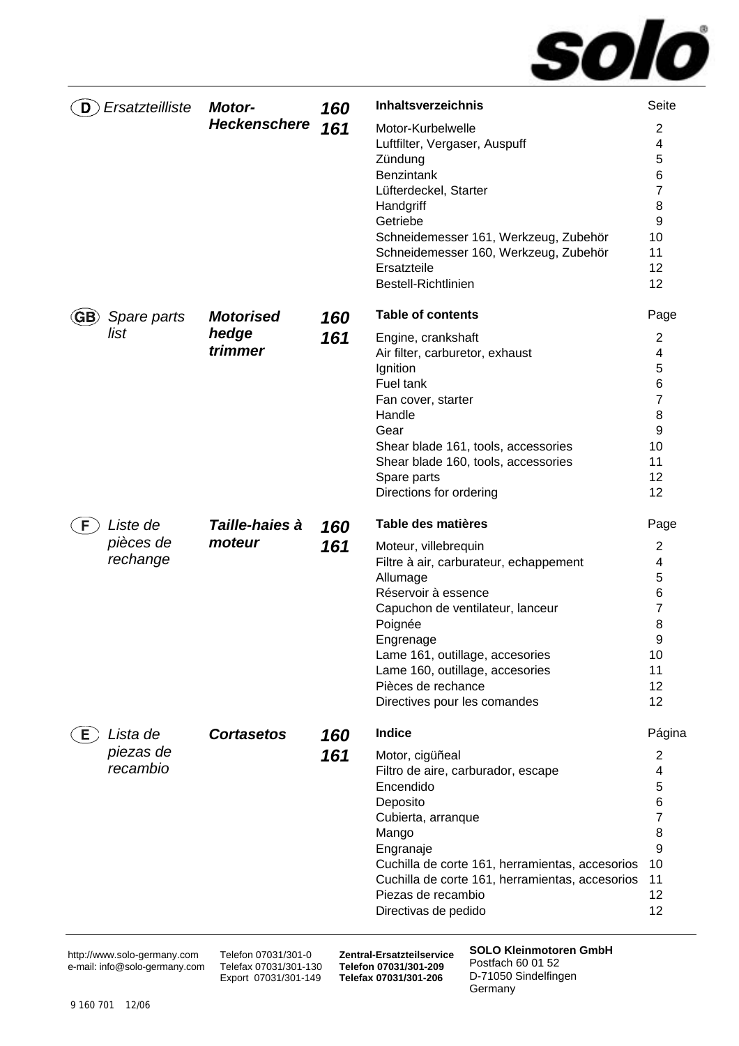

| Ersatzteilliste<br>D                                         | <b>Motor-</b>       | 160 | <b>Inhaltsverzeichnis</b>                                                                         | Seite          |
|--------------------------------------------------------------|---------------------|-----|---------------------------------------------------------------------------------------------------|----------------|
|                                                              | <b>Heckenschere</b> | 161 | Motor-Kurbelwelle                                                                                 | $\overline{2}$ |
|                                                              |                     |     | Luftfilter, Vergaser, Auspuff                                                                     | 4              |
|                                                              |                     |     | Zündung                                                                                           | 5              |
|                                                              |                     |     | <b>Benzintank</b>                                                                                 | 6              |
|                                                              |                     |     | Lüfterdeckel, Starter                                                                             | 7              |
|                                                              |                     |     | Handgriff                                                                                         | 8              |
|                                                              |                     |     | Getriebe                                                                                          | 9              |
|                                                              |                     |     | Schneidemesser 161, Werkzeug, Zubehör                                                             | 10             |
|                                                              |                     |     | Schneidemesser 160, Werkzeug, Zubehör                                                             | 11             |
|                                                              |                     |     | Ersatzteile                                                                                       | 12             |
|                                                              |                     |     | <b>Bestell-Richtlinien</b>                                                                        | 12             |
| Spare parts<br>GB)                                           | <b>Motorised</b>    | 160 | <b>Table of contents</b>                                                                          | Page           |
| list                                                         | hedge               | 161 | Engine, crankshaft                                                                                | $\overline{c}$ |
|                                                              | trimmer             |     | Air filter, carburetor, exhaust                                                                   | 4              |
|                                                              |                     |     | Ignition                                                                                          | 5              |
|                                                              |                     |     | Fuel tank                                                                                         | 6              |
|                                                              |                     |     | Fan cover, starter                                                                                | 7              |
|                                                              |                     |     | Handle                                                                                            | 8              |
|                                                              |                     |     | Gear                                                                                              | 9              |
|                                                              |                     |     | Shear blade 161, tools, accessories                                                               | 10             |
|                                                              |                     |     | Shear blade 160, tools, accessories                                                               | 11             |
|                                                              |                     |     | Spare parts                                                                                       | 12             |
|                                                              |                     |     | Directions for ordering                                                                           | 12             |
| Liste de<br>$\mathsf F$ .                                    | Taille-haies à      | 160 | Table des matières                                                                                | Page           |
| pièces de                                                    | moteur              | 161 | Moteur, villebrequin                                                                              | $\overline{c}$ |
| rechange                                                     |                     |     | Filtre à air, carburateur, echappement                                                            | 4              |
|                                                              |                     |     | Allumage                                                                                          | 5              |
|                                                              |                     |     | Réservoir à essence                                                                               | 6              |
|                                                              |                     |     | Capuchon de ventilateur, lanceur                                                                  | 7              |
|                                                              |                     |     | Poignée                                                                                           | 8              |
|                                                              |                     |     | Engrenage                                                                                         | 9              |
|                                                              |                     |     | Lame 161, outillage, accesories                                                                   | 10             |
|                                                              |                     |     | Lame 160, outillage, accesories                                                                   | 11             |
|                                                              |                     |     | Pièces de rechance                                                                                | 12             |
|                                                              |                     |     | Directives pour les comandes                                                                      | 12             |
| Lista de<br>E                                                | <b>Cortasetos</b>   | 160 | <b>Indice</b>                                                                                     | Página         |
| piezas de                                                    |                     | 161 | Motor, cigüñeal                                                                                   | 2              |
| recambio                                                     |                     |     | Filtro de aire, carburador, escape                                                                | 4              |
|                                                              |                     |     | Encendido                                                                                         | 5              |
|                                                              |                     |     | Deposito                                                                                          | 6              |
|                                                              |                     |     | Cubierta, arranque                                                                                | 7              |
|                                                              |                     |     | Mango                                                                                             | 8              |
|                                                              |                     |     | Engranaje                                                                                         | 9              |
|                                                              |                     |     | Cuchilla de corte 161, herramientas, accesorios                                                   | 10             |
|                                                              |                     |     | Cuchilla de corte 161, herramientas, accesorios                                                   | 11             |
|                                                              |                     |     | Piezas de recambio                                                                                | 12             |
|                                                              |                     |     | Directivas de pedido                                                                              | 12             |
| http://www.solo-germany.com<br>e-mail: info@solo-germany.com | Telefon 07031/301-0 |     | SOLO Kleinmotoren GmbH<br>Zentral-Ersatzteilservice<br>Postfach 60 01 52<br>Telefon 07031/301-209 |                |

**Telefon 07031/301-209 Telefax 07031/301-206**

D-71050 Sindelfingen

**Germany** 

e-mail: info@solo-germany.com

Telefax 07031/301-130 Export 07031/301-149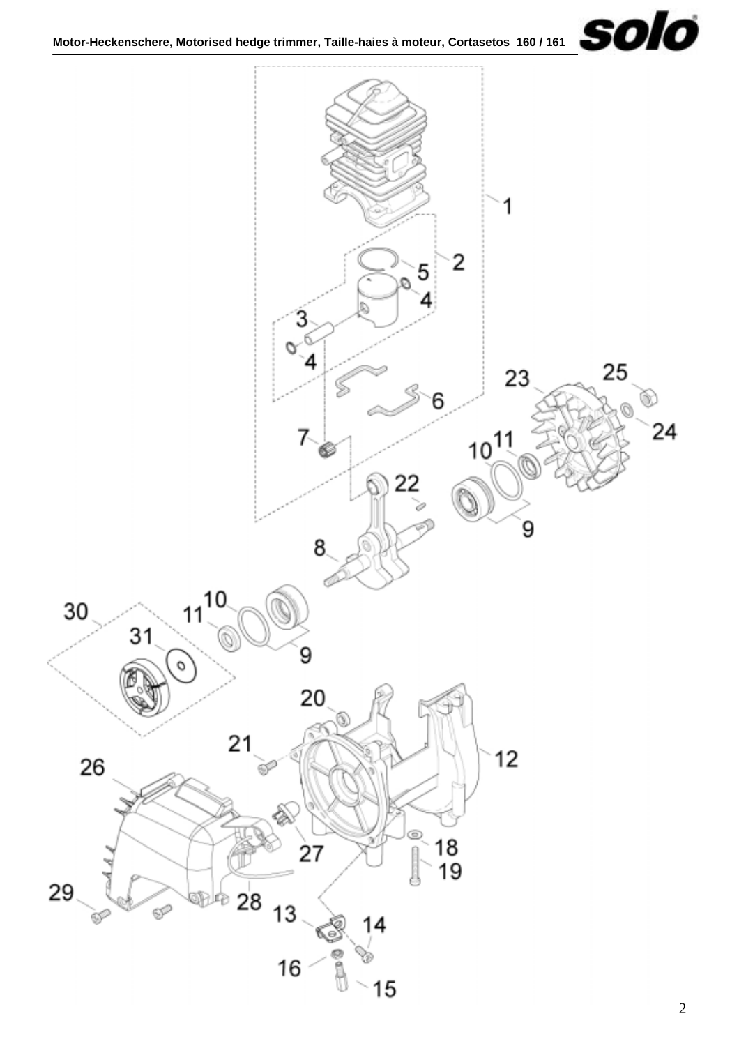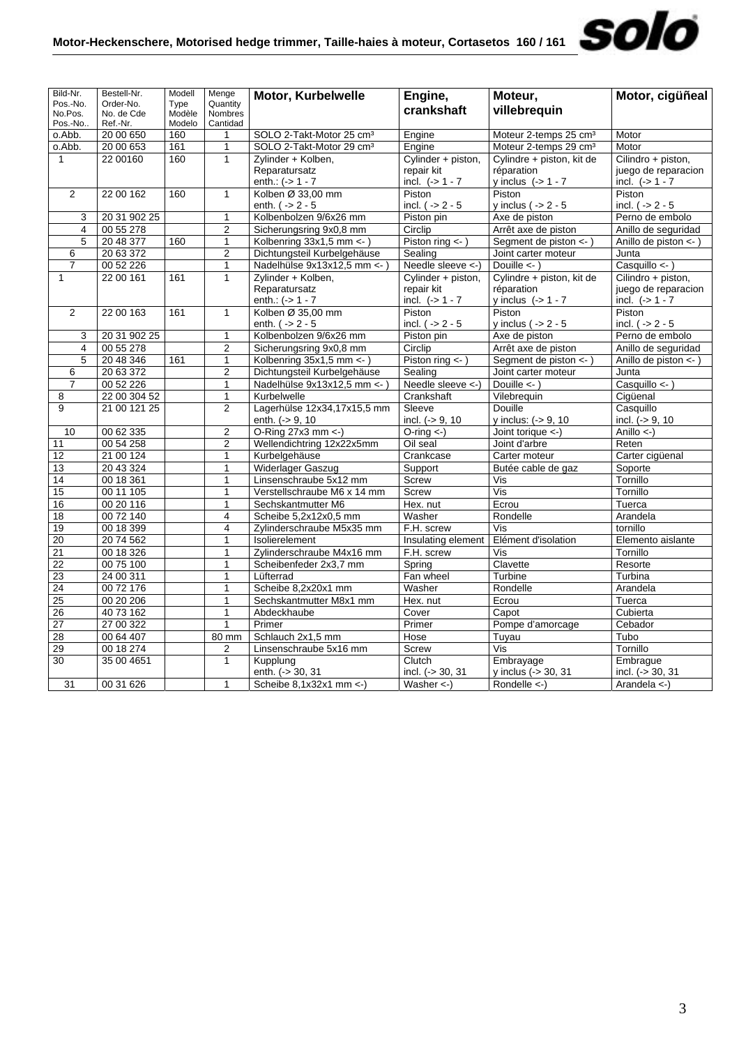

| Bild-Nr.            | Bestell-Nr.            | Modell         | Menge                      | Motor, Kurbelwelle                                                     | Engine,             | Moteur,                           | Motor, cigüñeal     |
|---------------------|------------------------|----------------|----------------------------|------------------------------------------------------------------------|---------------------|-----------------------------------|---------------------|
| Pos.-No.<br>No.Pos. | Order-No.              | Type<br>Modèle | Quantity<br><b>Nombres</b> |                                                                        | crankshaft          | villebrequin                      |                     |
| Pos.-No             | No. de Cde<br>Ref.-Nr. | Modelo         | Cantidad                   |                                                                        |                     |                                   |                     |
| o.Abb.              | 20 00 650              | 160            | 1                          | SOLO 2-Takt-Motor 25 cm <sup>3</sup>                                   | Engine              | Moteur 2-temps 25 cm <sup>3</sup> | Motor               |
| o.Abb.              | 20 00 653              | 161            | $\mathbf{1}$               | SOLO 2-Takt-Motor 29 cm <sup>3</sup>                                   | Engine              | Moteur 2-temps 29 cm <sup>3</sup> | Motor               |
| $\mathbf{1}$        | 22 00160               | 160            | 1                          | Zylinder + Kolben,                                                     | Cylinder + piston,  | Cylindre + piston, kit de         | Cilindro + piston,  |
|                     |                        |                |                            | Reparatursatz                                                          | repair kit          | réparation                        | juego de reparacion |
|                     |                        |                |                            | enth.: $(-51 - 7)$                                                     | incl. $(-51 - 7)$   | y inclus $(-51 - 7$               | incl. $(-51 - 7)$   |
| 2                   | 22 00 162              | 160            | $\mathbf{1}$               | Kolben Ø 33,00 mm                                                      | Piston              | Piston                            | Piston              |
|                     |                        |                |                            | enth. $( -2 - 5)$                                                      | incl. $(-2 - 5)$    | y inclus ( $\rightarrow$ 2 - 5    | incl. $( -2 - 5)$   |
| 3                   | 20 31 902 25           |                | $\mathbf{1}$               | Kolbenbolzen 9/6x26 mm                                                 | Piston pin          | Axe de piston                     | Perno de embolo     |
| $\overline{4}$      | 00 55 278              |                | $\overline{2}$             | Sicherungsring 9x0,8 mm                                                | Circlip             | Arrêt axe de piston               | Anillo de seguridad |
| 5                   | 20 48 377              | 160            | $\mathbf{1}$               | Kolbenring 33x1,5 mm <-                                                | Piston ring $\lt$ - | Segment de piston <- )            | Anillo de piston <- |
| 6                   | 20 63 372              |                | $\overline{2}$             | Dichtungsteil Kurbelgehäuse                                            | Sealing             | Joint carter moteur               | Junta               |
| 7                   | 00 52 226              |                | 1                          | Nadelhülse 9x13x12,5 mm <-                                             | Needle sleeve <-)   | Douille $\leftarrow$              | Casquillo <-        |
| $\mathbf{1}$        | 22 00 161              | 161            | $\mathbf{1}$               | Zylinder + Kolben,                                                     | Cylinder + piston,  | Cylindre + piston, kit de         | Cilindro + piston,  |
|                     |                        |                |                            | Reparatursatz                                                          | repair kit          | réparation                        | juego de reparacion |
|                     |                        |                |                            | enth.: $(-) 1 - 7$                                                     | incl. $(-51 - 7)$   | y inclus $(-51 - 7$               | incl. $(-51 - 7)$   |
| $\overline{2}$      | 22 00 163              | 161            | $\mathbf{1}$               | Kolben Ø 35,00 mm                                                      | Piston              | Piston                            | Piston              |
|                     |                        |                |                            | enth. $(-2 - 5)$                                                       | incl. $( -2 - 5$    | y inclus ( $\rightarrow$ 2 - 5    | incl. $( -2 - 5)$   |
| 3                   | 20 31 902 25           |                | $\mathbf{1}$               | Kolbenbolzen 9/6x26 mm                                                 | Piston pin          | Axe de piston                     | Perno de embolo     |
| $\overline{4}$      | 00 55 278              |                | $\overline{2}$             | Sicherungsring 9x0,8 mm                                                | Circlip             | Arrêt axe de piston               | Anillo de seguridad |
| 5                   | 20 48 346              | 161            | $\mathbf{1}$               | Kolbenring 35x1,5 mm <-<br>Piston ring <-<br>Segment de piston $\lt$ - |                     |                                   | Anillo de piston <- |
| 6                   | 20 63 372              |                | $\overline{c}$             | Dichtungsteil Kurbelgehäuse<br>Sealing<br>Joint carter moteur          |                     |                                   | Junta               |
| $\overline{7}$      | 00 52 226              |                | 1                          | Nadelhülse 9x13x12,5 mm <- )<br>Needle sleeve <- )<br>Douille $\lt$ -  |                     |                                   | Casquillo <- )      |
| 8                   | 22 00 304 52           |                | $\mathbf{1}$               | Kurbelwelle                                                            | Crankshaft          | Vilebrequin                       | Cigüenal            |
| $\overline{9}$      | 21 00 121 25           |                | $\overline{2}$             | Lagerhülse 12x34,17x15,5 mm                                            | Sleeve              | Douille                           | Casquillo           |
|                     |                        |                |                            | enth. $(-)$ 9, 10                                                      | incl. $(-5.9, 10)$  | y inclus: $(-)$ 9, 10             | incl. $(-)$ 9, 10   |
| 10                  | 00 62 335              |                | 2                          | O-Ring $27x3$ mm <-)                                                   | $O$ -ring $\lt$ -)  | Joint torique $\leftarrow$ )      | Anillo $\lt$ -)     |
| 11                  | 00 54 258              |                | $\overline{2}$             | Wellendichtring 12x22x5mm                                              | Oil seal            | Joint d'arbre                     | Reten               |
| 12                  | 21 00 124              |                | $\mathbf{1}$               | Kurbelgehäuse                                                          | Crankcase           | Carter moteur                     | Carter cigüenal     |
| 13                  | 20 43 324              |                | $\mathbf{1}$               | Widerlager Gaszug                                                      | Support             | Butée cable de gaz                | Soporte             |
| 14                  | 00 18 361              |                | $\mathbf{1}$               | Linsenschraube 5x12 mm                                                 | Screw               | Vis                               | Tornillo            |
| 15                  | 00 11 105              |                | $\mathbf{1}$               | Verstellschraube M6 x 14 mm                                            | Screw               | Vis                               | Tornillo            |
| 16                  | 00 20 116              |                | $\mathbf{1}$               | Sechskantmutter M6                                                     | Hex. nut            | Ecrou                             | Tuerca              |
| 18                  | 00 72 140              |                | 4                          | Scheibe 5,2x12x0,5 mm                                                  | Washer              | Rondelle                          | Arandela            |
| 19                  | 00 18 399              |                | $\overline{4}$             | Zylinderschraube M5x35 mm                                              | F.H. screw          | Vis                               | tornillo            |
| 20                  | 20 74 562              |                | 1                          | Isolierelement                                                         | Insulating element  | Elément d'isolation               | Elemento aislante   |
| 21                  | 00 18 326              |                | $\mathbf{1}$               | Zylinderschraube M4x16 mm                                              | F.H. screw          | Vis                               | Tornillo            |
| 22                  | 00 75 100              |                | 1                          | Scheibenfeder 2x3,7 mm                                                 | Spring              | Clavette                          | Resorte             |
| 23                  | 24 00 311              |                | $\mathbf{1}$               | Lüfterrad                                                              | Fan wheel           | Turbine                           | Turbina             |
| 24                  | 00 72 176              |                | 1                          | Scheibe 8,2x20x1 mm                                                    | Washer              | Rondelle                          | Arandela            |
| 25                  | 00 20 20 6             |                | 1                          | Sechskantmutter M8x1 mm                                                | Hex. nut            | Ecrou                             | Tuerca              |
| 26                  | 40 73 162              |                | 1                          | Abdeckhaube                                                            | Cover               | Capot                             | Cubierta            |
| $\overline{27}$     | 27 00 322              |                | 1                          | Primer                                                                 | Primer              | Pompe d'amorcage                  | Cebador             |
| 28                  | 00 64 407              |                | 80 mm                      | Schlauch 2x1,5 mm                                                      | Hose                | Tuyau                             | Tubo                |
| 29                  | 00 18 274              |                | 2                          | Linsenschraube 5x16 mm                                                 | Screw               | Vis                               | Tornillo            |
| 30                  | 35 00 4651             |                | $\mathbf{1}$               | Kupplung                                                               | Clutch              | Embrayage                         | Embraque            |
|                     |                        |                |                            | enth. $(-5.30, 31)$                                                    | incl. $(-5.30, 31)$ | y inclus $(-5.30, 31)$            | incl. $(-5.30, 31)$ |
| 31                  | 00 31 626              |                | 1                          | Scheibe 8,1x32x1 mm <- )                                               | Washer $\lt$ -)     | Rondelle $\leftarrow$ )           | Arandela <-)        |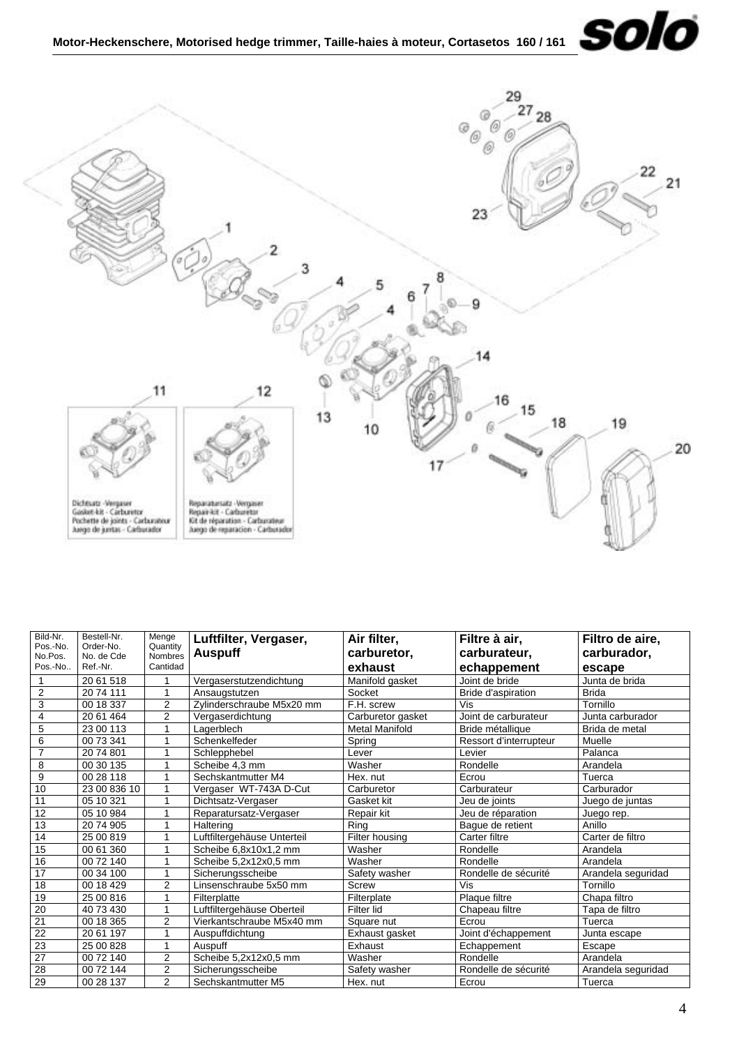

| Bild-Nr.           | Bestell-Nr.            | Menge               | Luftfilter, Vergaser,       | Air filter,           | Filtre à air,          | Filtro de aire,    |
|--------------------|------------------------|---------------------|-----------------------------|-----------------------|------------------------|--------------------|
| Pos.-No.           | Order-No.              | Quantity            | <b>Auspuff</b>              | carburetor,           | carburateur,           | carburador,        |
| No.Pos.<br>Pos.-No | No. de Cde<br>Ref.-Nr. | Nombres<br>Cantidad |                             | exhaust               |                        |                    |
|                    |                        |                     |                             |                       | echappement            | escape             |
|                    | 20 61 518              |                     | Vergaserstutzendichtung     | Manifold gasket       | Joint de bride         | Junta de brida     |
| $\overline{2}$     | 2074 111               |                     | Ansaugstutzen               | Socket                | Bride d'aspiration     | <b>Brida</b>       |
| 3                  | 00 18 337              | $\overline{2}$      | Zvlinderschraube M5x20 mm   | F.H. screw            | Vis                    | Tornillo           |
| $\overline{4}$     | 20 61 464              | $\overline{2}$      | Vergaserdichtung            | Carburetor gasket     | Joint de carburateur   | Junta carburador   |
| 5                  | 23 00 113              | 1                   | Lagerblech                  | <b>Metal Manifold</b> | Bride métallique       | Brida de metal     |
| 6                  | 00 73 341              |                     | Schenkelfeder               | Spring                | Ressort d'interrupteur | Muelle             |
| $\overline{7}$     | 20 74 801              |                     | Schlepphebel                | Lever                 | Levier                 | Palanca            |
| 8                  | 00 30 135              |                     | Scheibe 4.3 mm              | Washer                | Rondelle               | Arandela           |
| 9                  | 00 28 118              |                     | Sechskantmutter M4          | Hex. nut              | Ecrou                  | Tuerca             |
| 10                 | 23 00 836 10           |                     | Vergaser WT-743A D-Cut      | Carburetor            | Carburateur            | Carburador         |
| 11                 | 05 10 321              |                     | Dichtsatz-Vergaser          | Gasket kit            | Jeu de joints          | Juego de juntas    |
| 12                 | 05 10 984              |                     | Reparatursatz-Vergaser      | Repair kit            | Jeu de réparation      | Juego rep.         |
| 13                 | 20 74 905              |                     | Haltering                   | Ring                  | Baque de retient       | Anillo             |
| 14                 | 25 00 819              |                     | Luftfiltergehäuse Unterteil | Filter housing        | Carter filtre          | Carter de filtro   |
| 15                 | 00 61 360              | 1                   | Scheibe 6.8x10x1.2 mm       | Washer                | Rondelle               | Arandela           |
| 16                 | 00 72 140              |                     | Scheibe 5,2x12x0,5 mm       | Washer                | Rondelle               | Arandela           |
| 17                 | 00 34 100              | 1                   | Sicherungsscheibe           | Safety washer         | Rondelle de sécurité   | Arandela seguridad |
| 18                 | 00 18 429              | $\overline{2}$      | Linsenschraube 5x50 mm      | Screw                 | Vis                    | Tornillo           |
| 19                 | 25 00 816              |                     | Filterplatte                | Filterplate           | Plaque filtre          | Chapa filtro       |
| 20                 | 40 73 430              |                     | Luftfiltergehäuse Oberteil  | Filter lid            | Chapeau filtre         | Tapa de filtro     |
| 21                 | 00 18 365              | $\overline{2}$      | Vierkantschraube M5x40 mm   | Square nut            | Ecrou                  | Tuerca             |
| $\overline{22}$    | 20 61 197              |                     | Auspuffdichtung             | Exhaust gasket        | Joint d'échappement    | Junta escape       |
| 23                 | 25 00 828              | 1                   | Auspuff                     | Exhaust               | Echappement            | Escape             |
| 27                 | 00 72 140              | $\overline{2}$      | Scheibe 5,2x12x0,5 mm       | Washer                | Rondelle               | Arandela           |
| 28                 | 00 72 144              | $\overline{2}$      | Sicherungsscheibe           | Safety washer         | Rondelle de sécurité   | Arandela seguridad |
| 29                 | 00 28 137              | $\overline{2}$      | Sechskantmutter M5          | Hex. nut              | Ecrou                  | Tuerca             |

solo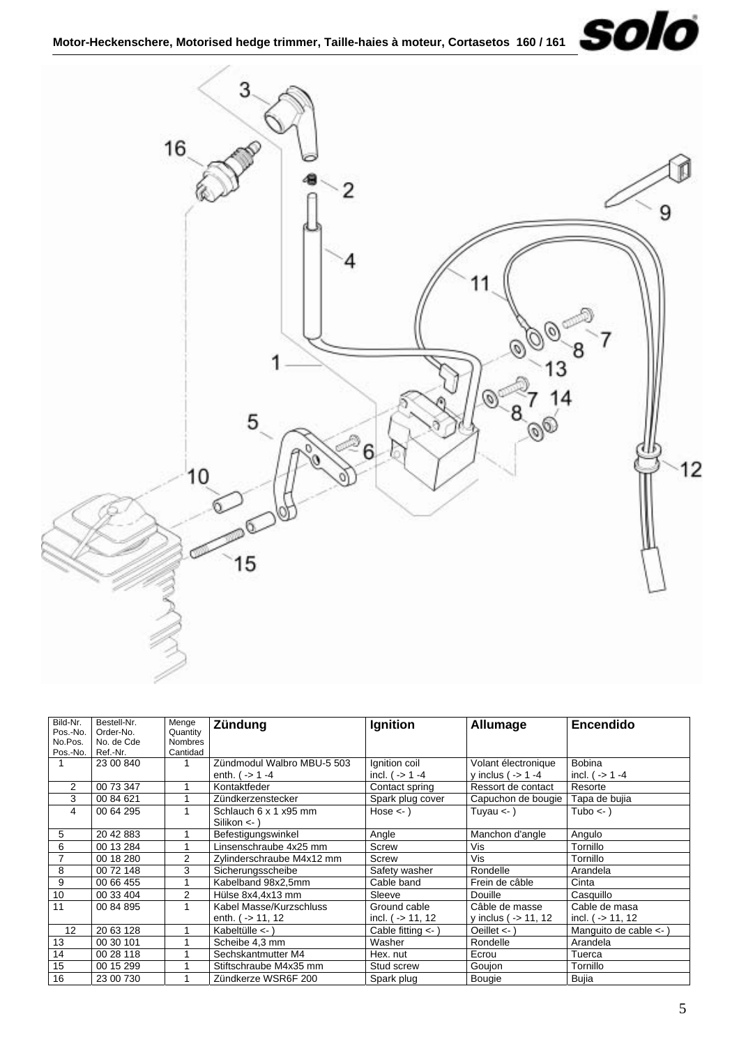

| Bild-Nr.<br>Pos.-No.<br>No.Pos.<br>Pos.-No. | Bestell-Nr.<br>Order-No.<br>No. de Cde<br>Ref.-Nr. | Menge<br>Quantity<br>Nombres<br>Cantidad | Zündung                                          | Ignition                                     | Allumage                                             | Encendido                            |
|---------------------------------------------|----------------------------------------------------|------------------------------------------|--------------------------------------------------|----------------------------------------------|------------------------------------------------------|--------------------------------------|
|                                             | 23 00 840                                          |                                          | Zündmodul Walbro MBU-5 503<br>enth. $( -> 1 -4)$ | Ignition coil<br>incl. $( -2 1 -4$           | Volant électronique<br>y inclus ( $\rightarrow$ 1 -4 | Bobina<br>incl. $( -> 1 -4)$         |
| $\mathcal{P}$                               | 00 73 347                                          |                                          | Kontaktfeder                                     | Contact spring                               | Ressort de contact                                   | Resorte                              |
| 3                                           | 00 84 621                                          |                                          | Zündkerzenstecker                                | Spark plug cover                             | Capuchon de bougie                                   | Tapa de bujia                        |
| 4                                           | 00 64 295                                          |                                          | Schlauch 6 x 1 x95 mm<br>Silikon $\leftarrow$ )  | Hose $\leftarrow$ )                          | Tuyau $\leftarrow$ )                                 | Tubo $\leftarrow$ )                  |
| 5                                           | 20 42 883                                          |                                          | Befestigungswinkel                               | Angle                                        | Manchon d'angle                                      | Angulo                               |
| 6                                           | 00 13 284                                          |                                          | Linsenschraube 4x25 mm                           | Screw                                        | Vis                                                  | Tornillo                             |
| $\overline{7}$                              | 00 18 280                                          | 2                                        | Zylinderschraube M4x12 mm                        | Screw                                        | Vis                                                  | Tornillo                             |
| 8                                           | 00 72 148                                          | 3                                        | Sicherungsscheibe                                | Safety washer                                | Rondelle                                             | Arandela                             |
| 9                                           | 00 66 455                                          |                                          | Kabelband 98x2.5mm                               | Cable band                                   | Frein de câble                                       | Cinta                                |
| 10                                          | 00 33 404                                          | $\overline{2}$                           | Hülse 8x4,4x13 mm                                | Sleeve                                       | Douille                                              | Casquillo                            |
| 11                                          | 00 84 895                                          |                                          | Kabel Masse/Kurzschluss<br>enth. $( -5 11, 12 $  | Ground cable<br>incl. ( $\rightarrow$ 11, 12 | Câble de masse<br>y inclus $( -> 11, 12)$            | Cable de masa<br>incl. $($ -> 11, 12 |
| 12                                          | 20 63 128                                          |                                          | Kabeltülle $\leftarrow$ )                        | Cable fitting $\lt$ )                        | Oeillet $\leftarrow$                                 | Manguito de cable $\lt$ -            |
| 13                                          | 00 30 101                                          |                                          | Scheibe 4,3 mm                                   | Washer                                       | Rondelle                                             | Arandela                             |
| 14                                          | 00 28 118                                          |                                          | Sechskantmutter M4                               | Hex. nut                                     | Ecrou                                                | Tuerca                               |
| 15                                          | 00 15 299                                          |                                          | Stiftschraube M4x35 mm                           | Stud screw                                   | Goujon                                               | Tornillo                             |
| 16                                          | 23 00 730                                          |                                          | Zündkerze WSR6F 200                              | Spark plug                                   | Bougie                                               | Bujia                                |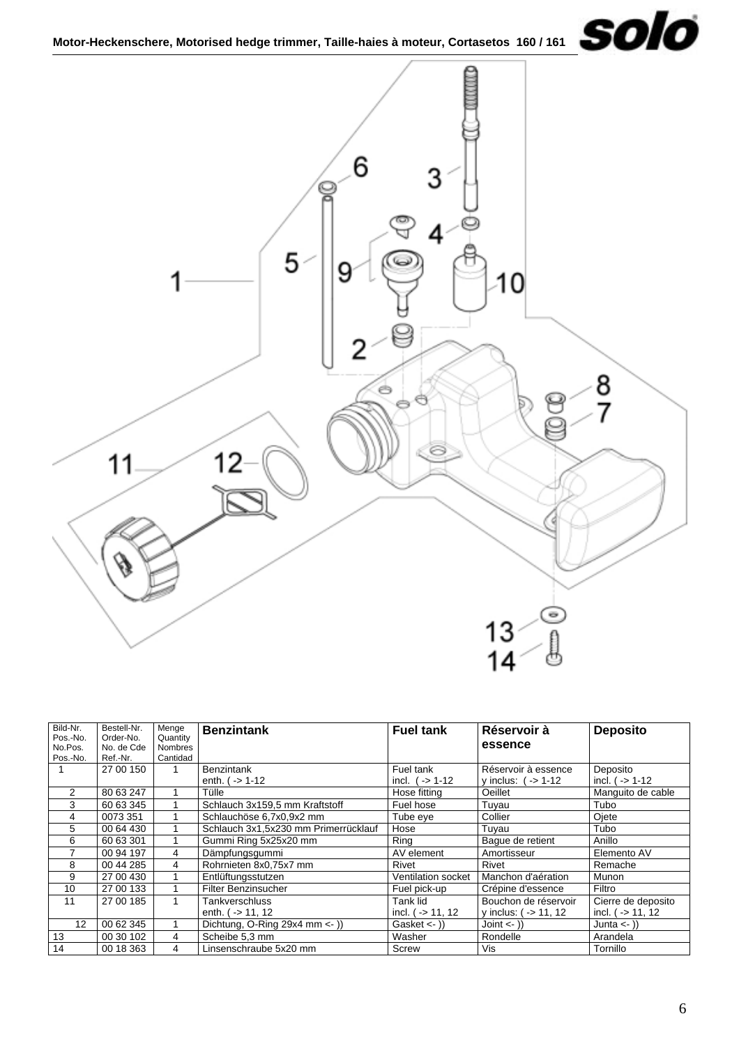



| Bild-Nr.<br>Pos.-No.<br>No.Pos.<br>Pos.-No. | Bestell-Nr.<br>Order-No.<br>No. de Cde<br>Ref.-Nr. | Menge<br>Quantity<br><b>Nombres</b><br>Cantidad | <b>Benzintank</b>                          | <b>Fuel tank</b>       | Réservoir à<br>essence   | <b>Deposito</b>      |
|---------------------------------------------|----------------------------------------------------|-------------------------------------------------|--------------------------------------------|------------------------|--------------------------|----------------------|
|                                             | 27 00 150                                          |                                                 | <b>Benzintank</b>                          | Fuel tank              | Réservoir à essence      | Deposito             |
|                                             |                                                    |                                                 | enth. $( -5 - 1 - 12)$                     | incl. $( -2 1 - 12)$   | y inclus: $( -> 1-12)$   | incl. $($ -> 1-12    |
| 2                                           | 80 63 247                                          |                                                 | Tülle                                      | Hose fitting           | Oeillet                  | Manguito de cable    |
| 3                                           | 60 63 345                                          |                                                 | Schlauch 3x159,5 mm Kraftstoff             | Fuel hose              | Tuyau                    | Tubo                 |
| 4                                           | 0073 351                                           |                                                 | Schlauchöse 6,7x0,9x2 mm                   | Tube eye               | Collier                  | Ojete                |
| 5                                           | 00 64 430                                          |                                                 | Schlauch 3x1,5x230 mm Primerrücklauf       | Hose                   | Tuyau                    | Tubo                 |
| 6                                           | 60 63 301                                          |                                                 | Gummi Ring 5x25x20 mm                      | Ring                   | Baque de retient         | Anillo               |
|                                             | 00 94 197                                          | 4                                               | Dämpfungsgummi                             | AV element             | Amortisseur              | Elemento AV          |
| 8                                           | 00 44 285                                          | 4                                               | Rohrnieten 8x0,75x7 mm                     | Rivet                  | Rivet                    | Remache              |
| 9                                           | 27 00 430                                          |                                                 | Entlüftungsstutzen                         | Ventilation socket     | Manchon d'aération       | Munon                |
| 10                                          | 27 00 133                                          |                                                 | Filter Benzinsucher                        | Fuel pick-up           | Crépine d'essence        | Filtro               |
| 11                                          | 27 00 185                                          |                                                 | Tankverschluss                             | Tank lid               | Bouchon de réservoir     | Cierre de deposito   |
|                                             |                                                    |                                                 | enth. $( -5 11, 12)$                       | incl. ( $> 11, 12$     | y inclus: $( -> 11, 12)$ | incl. ( $> 11, 12$   |
| $12 \overline{ }$                           | 00 62 345                                          |                                                 | Dichtung, O-Ring $29x4$ mm $\leftarrow$ )) | Gasket $\leftarrow$ )) | Joint $\leftarrow$ ))    | Junta $\leftarrow$ ) |
| 13                                          | 00 30 102                                          | 4                                               | Scheibe 5,3 mm                             | Washer                 | Rondelle                 | Arandela             |
| 14                                          | 00 18 363                                          | 4                                               | Linsenschraube 5x20 mm                     | Screw                  | Vis                      | Tornillo             |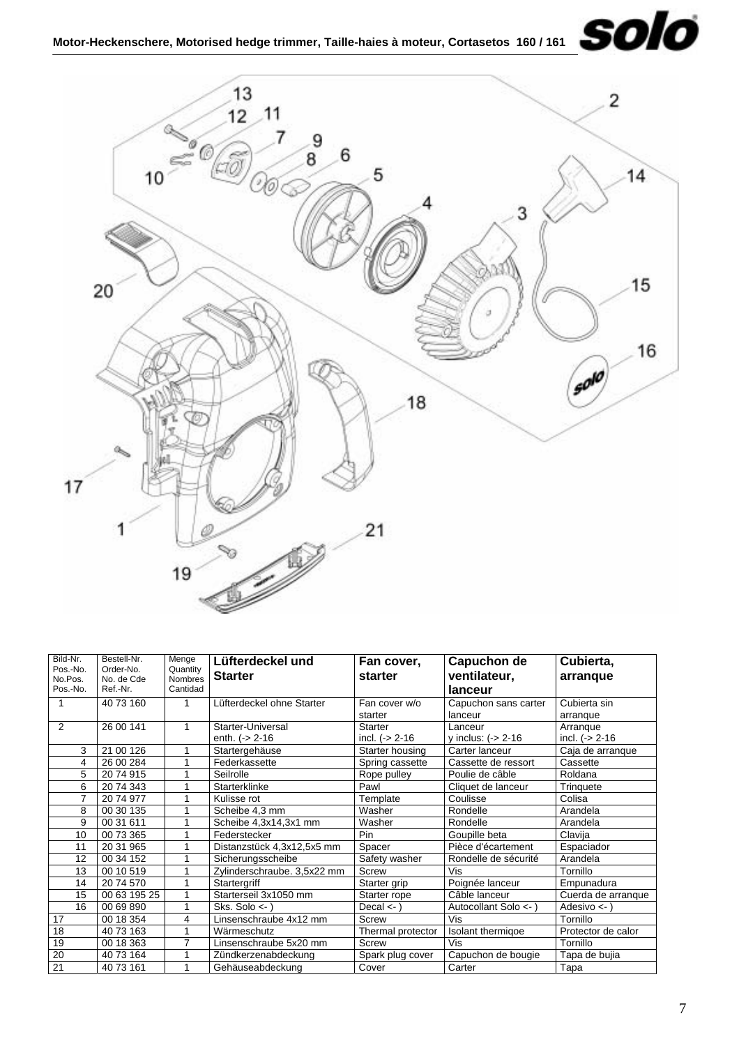



| Bild-Nr.<br>Pos.-No. | Bestell-Nr.<br>Order-No. | Menge<br>Quantity   | Lüfterdeckel und<br><b>Starter</b> | Fan cover,<br>starter | Capuchon de<br>ventilateur, | Cubierta,<br>arranque  |
|----------------------|--------------------------|---------------------|------------------------------------|-----------------------|-----------------------------|------------------------|
| No.Pos.<br>Pos.-No.  | No. de Cde<br>Ref.-Nr.   | Nombres<br>Cantidad |                                    |                       | lanceur                     |                        |
|                      |                          |                     |                                    |                       |                             |                        |
|                      | 40 73 160                |                     | Lüfterdeckel ohne Starter          | Fan cover w/o         | Capuchon sans carter        | Cubierta sin           |
|                      |                          |                     |                                    | starter               | lanceur                     | arrangue               |
| 2                    | 26 00 141                |                     | Starter-Universal                  | Starter               | Lanceur                     | Arranque               |
|                      |                          |                     | enth. (-> 2-16                     | incl. $($ > 2-16      | y inclus: $(-2 - 16)$       | incl. $(-2 - 16)$      |
| 3                    | 21 00 126                |                     | Startergehäuse                     | Starter housing       | Carter lanceur              | Caja de arranque       |
| 4                    | 26 00 284                |                     | Federkassette                      | Spring cassette       | Cassette de ressort         | Cassette               |
| 5                    | 20 74 915                |                     | Seilrolle                          | Rope pulley           | Poulie de câble             | Roldana                |
| 6                    | 20 74 343                |                     | Starterklinke                      | Pawl                  | Cliquet de lanceur          | Trinquete              |
| 7                    | 20 74 977                |                     | Kulisse rot                        | Template              | Coulisse                    | Colisa                 |
| 8                    | 00 30 135                |                     | Scheibe 4,3 mm                     | Washer                | Rondelle                    | Arandela               |
| 9                    | 00 31 611                |                     | Scheibe 4,3x14,3x1 mm              | Washer                | Rondelle                    | Arandela               |
| 10                   | 00 73 365                |                     | Federstecker                       | Pin                   | Goupille beta               | Clavija                |
| 11                   | 20 31 965                |                     | Distanzstück 4,3x12,5x5 mm         | Spacer                | Pièce d'écartement          | Espaciador             |
| 12                   | 00 34 152                |                     | Sicherungsscheibe                  | Safety washer         | Rondelle de sécurité        | Arandela               |
| 13                   | 00 10 519                |                     | Zylinderschraube. 3,5x22 mm        | Screw                 | Vis                         | Tornillo               |
| 14                   | 20 74 570                |                     | Startergriff                       | Starter grip          | Poignée lanceur             | Empunadura             |
| 15                   | 00 63 195 25             |                     | Starterseil 3x1050 mm              | Starter rope          | Câble lanceur               | Cuerda de arranque     |
| 16                   | 00 69 890                |                     | Sks. Solo $\leftarrow$ )           | Decal $\lt$ -         | Autocollant Solo <- )       | Adesivo $\leftarrow$ ) |
| 17                   | 00 18 354                | 4                   | Linsenschraube 4x12 mm             | Screw                 | Vis                         | Tornillo               |
| 18                   | 40 73 163                |                     | Wärmeschutz                        | Thermal protector     | Isolant thermigoe           | Protector de calor     |
| 19                   | 00 18 363                | $\overline{7}$      | Linsenschraube 5x20 mm             | Screw                 | Vis                         | Tornillo               |
| 20                   | 40 73 164                |                     | Zündkerzenabdeckung                | Spark plug cover      | Capuchon de bougie          | Tapa de bujia          |
| 21                   | 40 73 161                |                     | Gehäuseabdeckung                   | Cover                 | Carter                      | Tapa                   |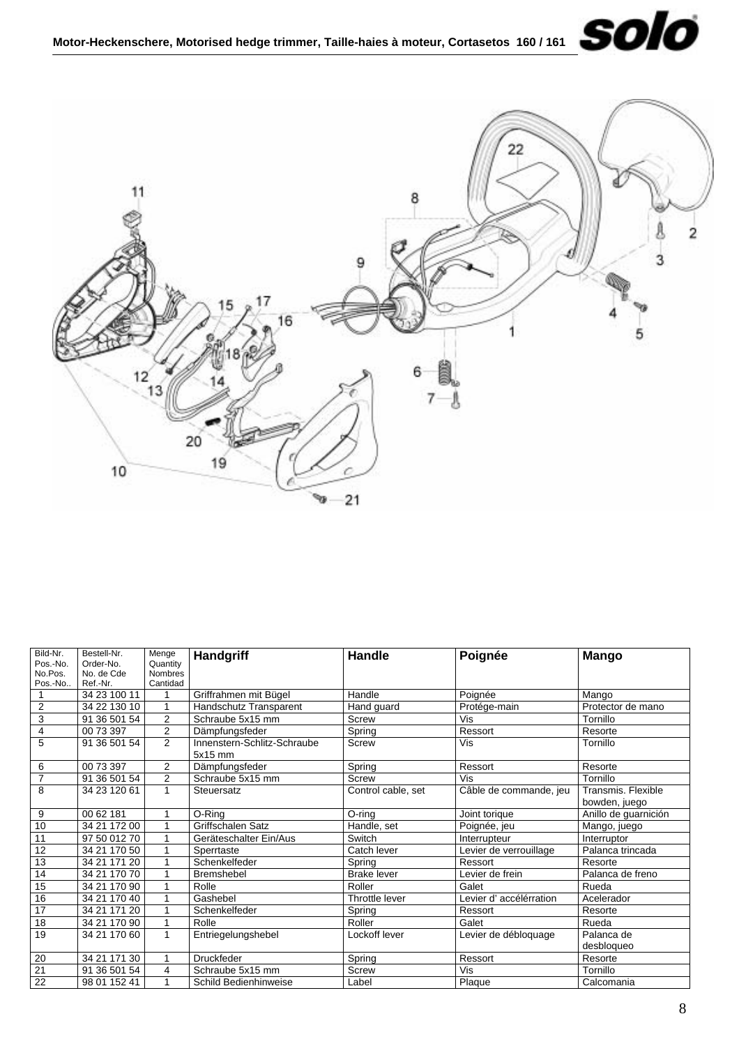





| Bild-Nr.            | Bestell-Nr.             | Menge                      | Handgriff                   | Handle             | Poignée                 | <b>Mango</b>         |
|---------------------|-------------------------|----------------------------|-----------------------------|--------------------|-------------------------|----------------------|
| Pos.-No.<br>No.Pos. | Order-No.<br>No. de Cde | Quantity<br><b>Nombres</b> |                             |                    |                         |                      |
| Pos.-No             | Ref.-Nr.                | Cantidad                   |                             |                    |                         |                      |
|                     | 34 23 100 11            |                            | Griffrahmen mit Bügel       | Handle             | Poignée                 | Mango                |
| $\overline{2}$      | 34 22 130 10            |                            | Handschutz Transparent      | Hand guard         | Protége-main            | Protector de mano    |
| 3                   | 91 36 501 54            | $\overline{2}$             | Schraube 5x15 mm            | Screw              | Vis                     | Tornillo             |
| 4                   | 00 73 397               | $\overline{2}$             | Dämpfungsfeder              | Spring             | Ressort                 | Resorte              |
| 5                   | 91 36 501 54            | $\overline{2}$             | Innenstern-Schlitz-Schraube | Screw              | Vis                     | Tornillo             |
|                     |                         |                            | $5x15$ mm                   |                    |                         |                      |
| 6                   | 00 73 397               | $\overline{2}$             | Dämpfungsfeder              | Spring             | Ressort                 | Resorte              |
| $\overline{7}$      | 91 36 501 54            | $\overline{2}$             | Schraube 5x15 mm            | Screw              | Vis                     | Tornillo             |
| 8                   | 34 23 120 61            |                            | Steuersatz                  | Control cable, set | Câble de commande, jeu  | Transmis, Flexible   |
|                     |                         |                            |                             |                    |                         | bowden, juego        |
| 9                   | 00 62 181               |                            | O-Ring                      | O-ring             | Joint torique           | Anillo de guarnición |
| 10                  | 34 21 172 00            |                            | Griffschalen Satz           | Handle, set        | Poignée, jeu            | Mango, juego         |
| 11                  | 97 50 012 70            |                            | Geräteschalter Ein/Aus      | Switch             | Interrupteur            | Interruptor          |
| 12                  | 34 21 170 50            |                            | Sperrtaste                  | Catch lever        | Levier de verrouillage  | Palanca trincada     |
| 13                  | 34 21 171 20            |                            | Schenkelfeder               | Spring             | Ressort                 | Resorte              |
| 14                  | 34 21 170 70            |                            | Bremshebel                  | <b>Brake lever</b> | Levier de frein         | Palanca de freno     |
| 15                  | 34 21 170 90            |                            | Rolle                       | Roller             | Galet                   | Rueda                |
| 16                  | 34 21 170 40            |                            | Gashebel                    | Throttle lever     | Levier d' accélérration | Acelerador           |
| 17                  | 34 21 171 20            |                            | Schenkelfeder               | Spring             | Ressort                 | Resorte              |
| 18                  | 34 21 170 90            |                            | Rolle                       | Roller             | Galet                   | Rueda                |
| 19                  | 34 21 170 60            | 1                          | Entriegelungshebel          | Lockoff lever      | Levier de débloquage    | Palanca de           |
|                     |                         |                            |                             |                    |                         | desbloqueo           |
| 20                  | 34 21 171 30            |                            | <b>Druckfeder</b>           | Spring             | Ressort                 | Resorte              |
| 21                  | 91 36 501 54            | $\overline{\mathbf{4}}$    | Schraube 5x15 mm            | <b>Screw</b>       | Vis                     | Tornillo             |
| 22                  | 98 01 152 41            |                            | Schild Bedienhinweise       | Label              | Plaque                  | Calcomania           |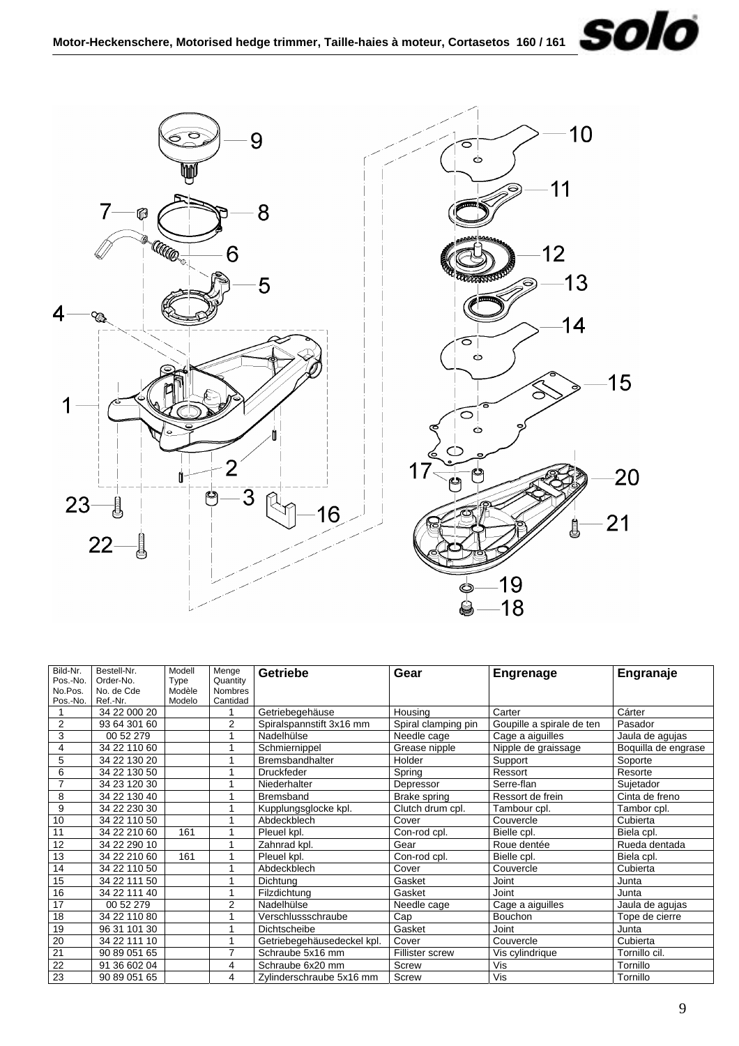

| Bild-Nr.<br>Pos.-No.<br>No.Pos.<br>Pos.-No. | Bestell-Nr.<br>Order-No.<br>No. de Cde<br>Ref.-Nr. | Modell<br>Type<br>Modèle<br>Modelo | Menge<br>Quantity<br><b>Nombres</b><br>Cantidad | <b>Getriebe</b>            | Gear                | <b>Engrenage</b>          | Engranaje           |
|---------------------------------------------|----------------------------------------------------|------------------------------------|-------------------------------------------------|----------------------------|---------------------|---------------------------|---------------------|
|                                             | 34 22 000 20                                       |                                    |                                                 | Getriebegehäuse            | Housing             | Carter                    | Cárter              |
| $\overline{2}$                              | 93 64 301 60                                       |                                    | 2                                               | Spiralspannstift 3x16 mm   | Spiral clamping pin | Goupille a spirale de ten | Pasador             |
| 3                                           | 00 52 279                                          |                                    |                                                 | Nadelhülse                 | Needle cage         | Cage a aiguilles          | Jaula de agujas     |
| 4                                           | 34 22 110 60                                       |                                    |                                                 | Schmiernippel              | Grease nipple       | Nipple de graissage       | Boquilla de engrase |
| 5                                           | 34 22 130 20                                       |                                    |                                                 | <b>Bremsbandhalter</b>     | Holder              | Support                   | Soporte             |
| 6                                           | 34 22 130 50                                       |                                    |                                                 | <b>Druckfeder</b>          | Spring              | Ressort                   | Resorte             |
|                                             | 34 23 120 30                                       |                                    |                                                 | Niederhalter               | Depressor           | Serre-flan                | Sujetador           |
| 8                                           | 34 22 130 40                                       |                                    |                                                 | <b>Bremsband</b>           | Brake spring        | Ressort de frein          | Cinta de freno      |
| 9                                           | 34 22 230 30                                       |                                    |                                                 | Kupplungsglocke kpl.       | Clutch drum cpl.    | Tambour cpl.              | Tambor cpl.         |
| 10                                          | 34 22 110 50                                       |                                    |                                                 | Abdeckblech                | Cover               | Couvercle                 | Cubierta            |
| 11                                          | 34 22 210 60                                       | 161                                |                                                 | Pleuel kpl.                | Con-rod cpl.        | Bielle cpl.               | Biela cpl.          |
| 12                                          | 34 22 290 10                                       |                                    |                                                 | Zahnrad kpl.               | Gear                | Roue dentée               | Rueda dentada       |
| 13                                          | 34 22 210 60                                       | 161                                |                                                 | Pleuel kpl.                | Con-rod cpl.        | Bielle cpl.               | Biela cpl.          |
| 14                                          | 34 22 110 50                                       |                                    |                                                 | Abdeckblech                | Cover               | Couvercle                 | Cubierta            |
| 15                                          | 34 22 111 50                                       |                                    |                                                 | Dichtung                   | Gasket              | Joint                     | Junta               |
| 16                                          | 34 22 111 40                                       |                                    |                                                 | Filzdichtung               | Gasket              | Joint                     | Junta               |
| 17                                          | 00 52 279                                          |                                    | 2                                               | Nadelhülse                 | Needle cage         | Cage a aiguilles          | Jaula de agujas     |
| 18                                          | 34 22 110 80                                       |                                    |                                                 | Verschlussschraube         | Cap                 | <b>Bouchon</b>            | Tope de cierre      |
| 19                                          | 96 31 101 30                                       |                                    |                                                 | Dichtscheibe               | Gasket              | Joint                     | Junta               |
| 20                                          | 34 22 111 10                                       |                                    | $\overline{\phantom{a}}$                        | Getriebegehäusedeckel kpl. | Cover               | Couvercle                 | Cubierta            |
| 21                                          | 90 89 051 65                                       |                                    | $\overline{7}$                                  | Schraube 5x16 mm           | Fillister screw     | Vis cylindrique           | Tornillo cil.       |
| 22                                          | 91 36 602 04                                       |                                    | 4                                               | Schraube 6x20 mm           | <b>Screw</b>        | Vis                       | Tornillo            |
| 23                                          | 90 89 051 65                                       |                                    | 4                                               | Zylinderschraube 5x16 mm   | <b>Screw</b>        | Vis                       | Tornillo            |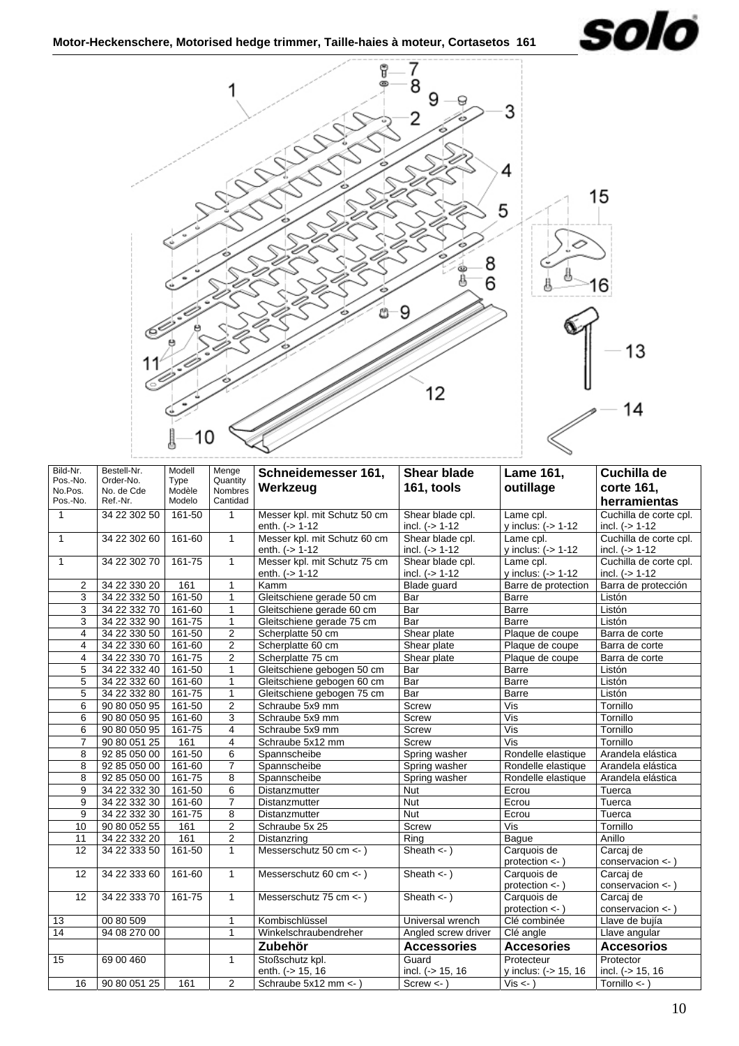





| Bild-Nr.<br>Pos.-No.<br>No.Pos.<br>Pos.-No. | Bestell-Nr.<br>Order-No.<br>No. de Cde<br>Ref.-Nr. | Modell<br>Type<br>Modèle<br>Modelo | Menge<br>Quantity<br><b>Nombres</b><br>Cantidad | Schneidemesser 161,<br>Werkzeug                | <b>Shear blade</b><br>161, tools     | Lame 161,<br>outillage            | Cuchilla de<br>corte 161,<br>herramientas    |
|---------------------------------------------|----------------------------------------------------|------------------------------------|-------------------------------------------------|------------------------------------------------|--------------------------------------|-----------------------------------|----------------------------------------------|
| $\mathbf{1}$                                | 34 22 302 50                                       | 161-50                             | $\mathbf{1}$                                    | Messer kpl. mit Schutz 50 cm                   | Shear blade cpl.                     | Lame cpl.                         | Cuchilla de corte cpl.                       |
|                                             |                                                    |                                    |                                                 | enth. $(-) 1-12$                               | incl. $(-51-12)$                     | y inclus: $(-5 1 - 12)$           | incl. $(-51-12)$                             |
| $\mathbf{1}$                                | 34 22 302 60                                       | 161-60                             | $\mathbf{1}$                                    | Messer kpl. mit Schutz 60 cm<br>enth. (-> 1-12 | Shear blade cpl.<br>incl. $(-51-12)$ | Lame cpl.<br>y inclus: $(-51-12)$ | Cuchilla de corte cpl.<br>incl. $(-) 1 - 12$ |
| $\mathbf{1}$                                | 34 22 302 70                                       | $161 - 75$                         | $\mathbf{1}$                                    | Messer kpl. mit Schutz 75 cm                   | Shear blade cpl.                     | Lame cpl.                         | Cuchilla de corte cpl.                       |
|                                             |                                                    |                                    |                                                 | enth. $(-) 1-12$                               | incl. $(-51-12)$                     | y inclus: $(-5 1 - 12)$           | incl. $(-51-12)$                             |
| 2                                           | 34 22 330 20                                       | 161                                | $\mathbf{1}$                                    | Kamm                                           | <b>Blade</b> guard                   | Barre de protection               | Barra de protección                          |
| 3                                           | 34 22 332 50                                       | $161 - 50$                         | 1                                               | Gleitschiene gerade 50 cm                      | Bar                                  | Barre                             | Listón                                       |
| 3                                           | 34 22 332 70                                       | 161-60                             | 1                                               | Gleitschiene gerade 60 cm                      | Bar                                  | Barre                             | Listón                                       |
| 3                                           | 34 22 332 90                                       | $161 - 75$                         | $\mathbf{1}$                                    | Gleitschiene gerade 75 cm                      | Bar                                  | Barre                             | Listón                                       |
| $\overline{4}$                              | 34 22 330 50                                       | 161-50                             | 2                                               | Scherplatte 50 cm                              | Shear plate                          | Plaque de coupe                   | Barra de corte                               |
| 4                                           | 34 22 330 60                                       | 161-60                             | 2                                               | Scherplatte 60 cm                              | Shear plate                          | Plaque de coupe                   | Barra de corte                               |
| $\overline{4}$                              | 34 22 330 70                                       | 161-75                             | $\overline{2}$                                  | Scherplatte 75 cm                              | Shear plate                          | Plaque de coupe                   | Barra de corte                               |
| 5                                           | 34 22 332 40                                       | 161-50                             | $\mathbf{1}$                                    | Gleitschiene gebogen 50 cm                     | Bar                                  | <b>Barre</b>                      | Listón                                       |
| 5                                           | 34 22 332 60                                       | 161-60                             | 1                                               | Gleitschiene gebogen 60 cm                     | Bar                                  | <b>Barre</b>                      | Listón                                       |
| $\overline{5}$                              | 34 22 332 80                                       | $161 - 75$                         | $\mathbf{1}$                                    | Gleitschiene gebogen 75 cm                     | Bar                                  | <b>Barre</b>                      | Listón                                       |
| 6                                           | 90 80 050 95                                       | 161-50                             | $\overline{2}$                                  | Schraube 5x9 mm                                | Screw                                | $\overline{\mathsf{Vis}}$         | Tornillo                                     |
| 6                                           | 90 80 050 95                                       | 161-60                             | 3                                               | Schraube 5x9 mm                                | <b>Screw</b>                         | $\overline{\mathsf{Vis}}$         | Tornillo                                     |
| 6                                           | 90 80 050 95                                       | 161-75                             | 4                                               | Schraube 5x9 mm                                | Screw                                | $\overline{\text{Vis}}$           | Tornillo                                     |
| $\overline{7}$                              | 90 80 051 25                                       | 161                                | $\overline{4}$                                  | Schraube 5x12 mm                               | Screw                                | $\overline{\mathsf{Vis}}$         | Tornillo                                     |
| 8                                           | 92 85 050 00                                       | 161-50                             | 6                                               | Spannscheibe                                   | Spring washer                        | Rondelle elastique                | Arandela elástica                            |
| 8                                           | 92 85 050 00                                       | 161-60                             | $\overline{7}$                                  | Spannscheibe                                   | Spring washer                        | Rondelle elastique                | Arandela elástica                            |
| $\overline{8}$                              | 92 85 050 00                                       | $161 - 75$                         | 8                                               | Spannscheibe                                   | Spring washer                        | Rondelle elastique                | Arandela elástica                            |
| 9                                           | 34 22 332 30                                       | 161-50                             | 6                                               | Distanzmutter                                  | <b>Nut</b>                           | Ecrou                             | Tuerca                                       |
| 9                                           | 34 22 332 30                                       | 161-60                             | 7                                               | Distanzmutter                                  | <b>Nut</b>                           | Ecrou                             | Tuerca                                       |
| 9                                           | 34 22 332 30                                       | $161 - 75$                         | 8                                               | Distanzmutter                                  | <b>Nut</b>                           | Ecrou                             | Tuerca                                       |
| 10                                          | 90 80 052 55                                       | 161                                | 2                                               | Schraube 5x 25                                 | Screw                                | $\overline{\mathsf{Vis}}$         | Tornillo                                     |
| 11                                          | 34 22 332 20                                       | 161                                | $\overline{\mathbf{c}}$                         | Distanzring                                    | Ring                                 | <b>Bague</b>                      | Anillo                                       |
| 12                                          | 34 22 333 50                                       | 161-50                             | $\mathbf{1}$                                    | Messerschutz 50 cm <- )                        | Sheath $\lt$ - $)$                   | Carquois de                       | Carcaj de                                    |
|                                             |                                                    |                                    |                                                 |                                                |                                      | protection $\lt$ -)               | conservation <                               |
| 12                                          | 34 22 333 60                                       | 161-60                             | $\mathbf{1}$                                    | Messerschutz 60 cm <- )                        | Sheath $\leftarrow$ )                | Carquois de                       | Carcaj de                                    |
|                                             |                                                    |                                    |                                                 |                                                |                                      | protection $\lt$ -)               | conservacion <-                              |
| $\overline{12}$                             | 34 22 333 70                                       | $161 - 75$                         | $\mathbf{1}$                                    | Messerschutz 75 cm <- )                        | Sheath $\leftarrow$ )                | Carquois de                       | Carcaj de                                    |
|                                             |                                                    |                                    |                                                 |                                                |                                      | $protection <$ )                  | conservation <                               |
| 13                                          | 00 80 509                                          |                                    | $\mathbf{1}$                                    | Kombischlüssel                                 | Universal wrench                     | Clé combinée                      | Llave de bujía                               |
| 14                                          | 94 08 270 00                                       |                                    | $\mathbf{1}$                                    | Winkelschraubendreher                          | Angled screw driver                  | Clé angle                         | Llave angular                                |
|                                             |                                                    |                                    |                                                 | Zubehör                                        | <b>Accessories</b>                   | <b>Accesories</b>                 | <b>Accesorios</b>                            |
| 15                                          | 69 00 460                                          |                                    | $\mathbf{1}$                                    | Stoßschutz kpl.                                | Guard                                | Protecteur                        | Protector                                    |
|                                             |                                                    |                                    |                                                 | enth. (-> 15, 16                               | incl. (-> 15, 16                     | y inclus: (-> 15, 16              | incl. (-> 15, 16                             |
| 16                                          | 90 80 051 25                                       | 161                                | 2                                               | Schraube 5x12 mm <- )                          | $Screw \leftarrow$                   | $Vis < - )$                       | Tornillo <-                                  |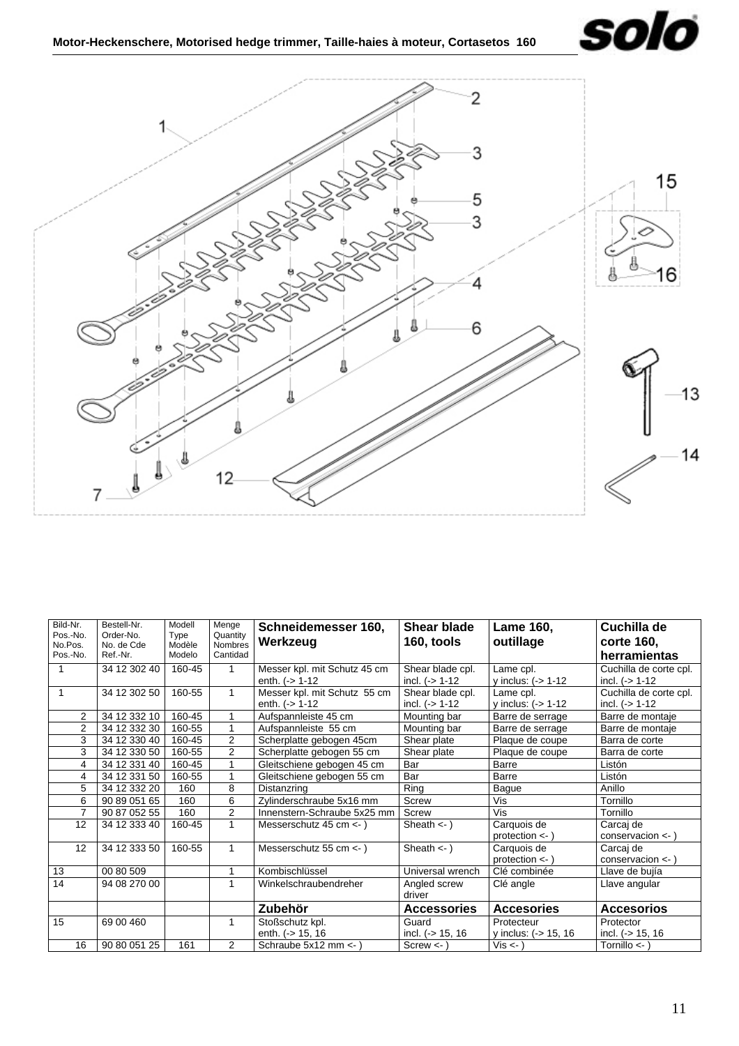



| Bild-Nr.            | Bestell-Nr.            | Modell           | Menge                      | Schneidemesser 160,              | Shear blade           | Lame 160,              | Cuchilla de             |
|---------------------|------------------------|------------------|----------------------------|----------------------------------|-----------------------|------------------------|-------------------------|
| Pos.-No.            | Order-No.              | Type             | Quantity                   | Werkzeug                         | 160, tools            | outillage              | corte 160,              |
| No.Pos.<br>Pos.-No. | No. de Cde<br>Ref.-Nr. | Modèle<br>Modelo | <b>Nombres</b><br>Cantidad |                                  |                       |                        | herramientas            |
|                     |                        |                  |                            |                                  |                       |                        |                         |
|                     | 34 12 302 40           | 160-45           |                            | Messer kpl. mit Schutz 45 cm     | Shear blade cpl.      | Lame cpl.              | Cuchilla de corte cpl.  |
|                     |                        |                  |                            | enth. $(-) 1-12$                 | incl. $($ > 1-12      | y inclus: $(-5 1-12$   | incl. $(-51 - 12)$      |
|                     | 34 12 302 50           | 160-55           |                            | Messer kpl. mit Schutz 55 cm     | Shear blade cpl.      | Lame cpl.              | Cuchilla de corte cpl.  |
|                     |                        |                  |                            | enth. $(-) 1-12$                 | incl. $($ > 1-12      | y inclus: $(-5)$ 1-12  | incl. $(-) 1 - 12$      |
| $\overline{2}$      | 34 12 332 10           | 160-45           |                            | Aufspannleiste 45 cm             | Mounting bar          | Barre de serrage       | Barre de montaje        |
| $\overline{2}$      | 34 12 332 30           | 160-55           |                            | Aufspannleiste 55 cm             | Mounting bar          | Barre de serrage       | Barre de montaje        |
| 3                   | 34 12 330 40           | 160-45           | $\overline{2}$             | Scherplatte gebogen 45cm         | Shear plate           | Plaque de coupe        | Barra de corte          |
| 3                   | 34 12 330 50           | 160-55           | $\overline{2}$             | Scherplatte gebogen 55 cm        | Shear plate           | Plaque de coupe        | Barra de corte          |
| 4                   | 34 12 331 40           | 160-45           |                            | Gleitschiene gebogen 45 cm       | Bar                   | Barre                  | Listón                  |
| 4                   | 34 12 331 50           | 160-55           |                            | Gleitschiene gebogen 55 cm       | Bar                   | Barre                  | Listón                  |
| 5                   | 34 12 332 20           | 160              | 8                          | Distanzring                      | Ring                  | Bague                  | Anillo                  |
| 6                   | 90 89 051 65           | 160              | 6                          | Zylinderschraube 5x16 mm         | Screw                 | Vis                    | Tornillo                |
| 7                   | 90 87 052 55           | 160              | $\overline{2}$             | Innenstern-Schraube 5x25 mm      | Screw                 | Vis                    | Tornillo                |
| 12                  | 34 12 333 40           | 160-45           |                            | Messerschutz $45 \text{ cm} <$ ) | Sheath $\lt$ -)       | Carquois de            | Carcaj de               |
|                     |                        |                  |                            |                                  |                       | protection $\lt$ -)    | $conservation < -$ )    |
| 12                  | 34 12 333 50           | 160-55           |                            | Messerschutz 55 cm <- )          | Sheath $\leftarrow$ ) | Carquois de            | Carcaj de               |
|                     |                        |                  |                            |                                  |                       | protection $\lt$ -     | conservacion <- )       |
| 13                  | 00 80 509              |                  |                            | Kombischlüssel                   | Universal wrench      | Clé combinée           | Llave de bujía          |
| 14                  | 94 08 270 00           |                  |                            | Winkelschraubendreher            | Angled screw          | Clé angle              | Llave angular           |
|                     |                        |                  |                            |                                  | driver                |                        |                         |
|                     |                        |                  |                            | Zubehör                          | <b>Accessories</b>    | <b>Accesories</b>      | <b>Accesorios</b>       |
| 15                  | 69 00 460              |                  | 1                          | Stoßschutz kpl.                  | Guard                 | Protecteur             | Protector               |
|                     |                        |                  |                            | enth. (-> 15, 16                 | incl. $($ > 15, 16    | y inclus: $(-)$ 15, 16 | incl. $(-5.15, 16)$     |
| 16                  | 90 80 051 25           | 161              | 2                          | Schraube $5x12$ mm $\lt$ -       | Screw < 0             | Vis < )                | Tornillo $\leftarrow$ ) |